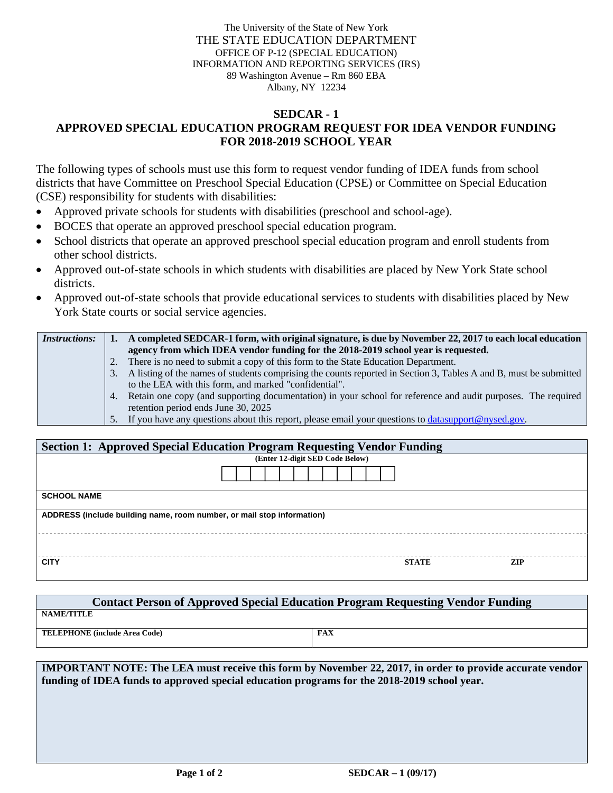The University of the State of New York THE STATE EDUCATION DEPARTMENT OFFICE OF P-12 (SPECIAL EDUCATION) INFORMATION AND REPORTING SERVICES (IRS) 89 Washington Avenue – Rm 860 EBA Albany, NY 12234

## **SEDCAR - 1 APPROVED SPECIAL EDUCATION PROGRAM REQUEST FOR IDEA VENDOR FUNDING FOR 2018-2019 SCHOOL YEAR**

The following types of schools must use this form to request vendor funding of IDEA funds from school districts that have Committee on Preschool Special Education (CPSE) or Committee on Special Education (CSE) responsibility for students with disabilities:

- Approved private schools for students with disabilities (preschool and school-age).
- BOCES that operate an approved preschool special education program.
- School districts that operate an approved preschool special education program and enroll students from other school districts.
- Approved out-of-state schools in which students with disabilities are placed by New York State school districts.
- Approved out-of-state schools that provide educational services to students with disabilities placed by New York State courts or social service agencies.

| <i>Instructions:</i> |                | A completed SEDCAR-1 form, with original signature, is due by November 22, 2017 to each local education           |
|----------------------|----------------|-------------------------------------------------------------------------------------------------------------------|
|                      |                | agency from which IDEA vendor funding for the 2018-2019 school year is requested.                                 |
|                      |                | 2. There is no need to submit a copy of this form to the State Education Department.                              |
|                      | $\mathbf{3}$ . | A listing of the names of students comprising the counts reported in Section 3, Tables A and B, must be submitted |
|                      |                | to the LEA with this form, and marked "confidential".                                                             |
|                      |                | 4. Retain one copy (and supporting documentation) in your school for reference and audit purposes. The required   |
|                      |                | retention period ends June 30, 2025                                                                               |
|                      |                | 5. If you have any questions about this report, please email your questions to <b>datasupport</b> @nysed.gov.     |

| <b>Section 1: Approved Special Education Program Requesting Vendor Funding</b> |                                 |              |     |  |  |  |
|--------------------------------------------------------------------------------|---------------------------------|--------------|-----|--|--|--|
|                                                                                | (Enter 12-digit SED Code Below) |              |     |  |  |  |
|                                                                                |                                 |              |     |  |  |  |
| <b>SCHOOL NAME</b>                                                             |                                 |              |     |  |  |  |
| ADDRESS (include building name, room number, or mail stop information)         |                                 |              |     |  |  |  |
|                                                                                |                                 |              |     |  |  |  |
| <b>CITY</b>                                                                    |                                 | <b>STATE</b> | ZIP |  |  |  |

| <b>Contact Person of Approved Special Education Program Requesting Vendor Funding</b> |     |  |  |  |  |
|---------------------------------------------------------------------------------------|-----|--|--|--|--|
| <b>NAME/TITLE</b>                                                                     |     |  |  |  |  |
| <b>TELEPHONE</b> (include Area Code)                                                  | FAX |  |  |  |  |

**IMPORTANT NOTE: The LEA must receive this form by November 22, 2017, in order to provide accurate vendor funding of IDEA funds to approved special education programs for the 2018-2019 school year.**